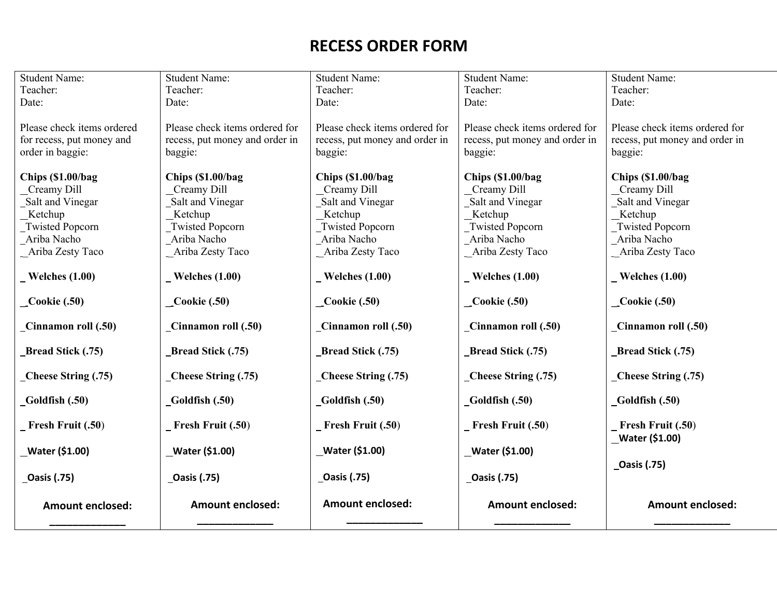## **RECESS ORDER FORM**

| <b>Student Name:</b>                                                                                                    | <b>Student Name:</b>                                                                                                  | <b>Student Name:</b>                                                                                                   | <b>Student Name:</b>                                                                                                     | <b>Student Name:</b>                                                                                                         |
|-------------------------------------------------------------------------------------------------------------------------|-----------------------------------------------------------------------------------------------------------------------|------------------------------------------------------------------------------------------------------------------------|--------------------------------------------------------------------------------------------------------------------------|------------------------------------------------------------------------------------------------------------------------------|
| Teacher:                                                                                                                | Teacher:                                                                                                              | Teacher:                                                                                                               | Teacher:                                                                                                                 | Teacher:                                                                                                                     |
| Date:                                                                                                                   | Date:                                                                                                                 | Date:                                                                                                                  | Date:                                                                                                                    | Date:                                                                                                                        |
| Please check items ordered<br>for recess, put money and<br>order in baggie:                                             | Please check items ordered for<br>recess, put money and order in<br>baggie:                                           | Please check items ordered for<br>recess, put money and order in<br>baggie:                                            | Please check items ordered for<br>recess, put money and order in<br>baggie:                                              | Please check items ordered for<br>recess, put money and order in<br>baggie:                                                  |
| Chips (\$1.00/bag)<br>Creamy Dill<br>Salt and Vinegar<br>_Ketchup<br>Twisted Popcorn<br>Ariba Nacho<br>Ariba Zesty Taco | Chips (\$1.00/bag<br>Creamy Dill<br>Salt and Vinegar<br>Ketchup<br>Twisted Popcorn<br>Ariba Nacho<br>Ariba Zesty Taco | Chips (\$1.00/bag)<br>Creamy Dill<br>Salt and Vinegar<br>Ketchup<br>Twisted Popcorn<br>Ariba Nacho<br>Ariba Zesty Taco | Chips (\$1.00/bag<br>Creamy Dill<br>Salt and Vinegar<br>_Ketchup<br>Twisted Popcorn<br>Ariba Nacho<br>- Ariba Zesty Taco | Chips (\$1.00/bag<br>Creamy Dill<br>Salt and Vinegar<br><b>Ketchup</b><br>Twisted Popcorn<br>Ariba Nacho<br>Ariba Zesty Taco |
| $\textbf{Welehes (1.00)}$                                                                                               | $\textbf{Welehes} (1.00)$                                                                                             | $\textbf{Welehes} (1.00)$                                                                                              | $\textbf{Welehes} (1.00)$                                                                                                | $\textbf{Welehes} (1.00)$                                                                                                    |
| $\_\_$ Cookie (.50)                                                                                                     | $\textcolor{red}{\mathbf{Cookie}}$ (.50)                                                                              | $\_\_$ Cookie (.50)                                                                                                    | $\textcolor{blue}{\bullet}$ Cookie (.50)                                                                                 | $\textcolor{red}{\mathbf{-} \text{Cookie (.50)}}$                                                                            |
| Cinnamon roll (.50)                                                                                                     | Cinnamon roll (.50)                                                                                                   | Cinnamon roll (.50)                                                                                                    | Cinnamon roll (.50)                                                                                                      | Cinnamon roll (.50)                                                                                                          |
| Bread Stick (.75)                                                                                                       | <b>Bread Stick (.75)</b>                                                                                              | <b>Bread Stick (.75)</b>                                                                                               | Bread Stick (.75)                                                                                                        | <b>Bread Stick (.75)</b>                                                                                                     |
| $\mathbf{\subseteq}$ Cheese String (.75)                                                                                | Cheese String (.75)                                                                                                   | Cheese String (.75)                                                                                                    | $\mathbf{\subseteq}$ Cheese String (.75)                                                                                 | Cheese String (.75)                                                                                                          |
| _Goldfish (.50)                                                                                                         | $\text{\_Goldfish}\ (.50)$                                                                                            | Goldfish (.50)                                                                                                         | $_Goldfish(.50)$                                                                                                         | $_Goldfish(.50)$                                                                                                             |
| $\_$ Fresh Fruit $(.50)$                                                                                                | $\_$ Fresh Fruit $(.50)$                                                                                              | $\overline{\phantom{a}}$ Fresh Fruit (.50)                                                                             | $\_$ Fresh Fruit $(.50)$                                                                                                 | $\_$ Fresh Fruit $(.50)$<br>Water (\$1.00)                                                                                   |
| _Water (\$1.00)                                                                                                         | Water (\$1.00)                                                                                                        | Water (\$1.00)                                                                                                         | Water (\$1.00)                                                                                                           |                                                                                                                              |
| <b>_Oasis (.75)</b>                                                                                                     | <b>_Oasis (.75)</b>                                                                                                   | <b>_Oasis (.75)</b>                                                                                                    | _Oasis (.75)                                                                                                             | _Oasis (.75)                                                                                                                 |
| <b>Amount enclosed:</b>                                                                                                 | <b>Amount enclosed:</b>                                                                                               | <b>Amount enclosed:</b>                                                                                                | <b>Amount enclosed:</b>                                                                                                  | <b>Amount enclosed:</b>                                                                                                      |